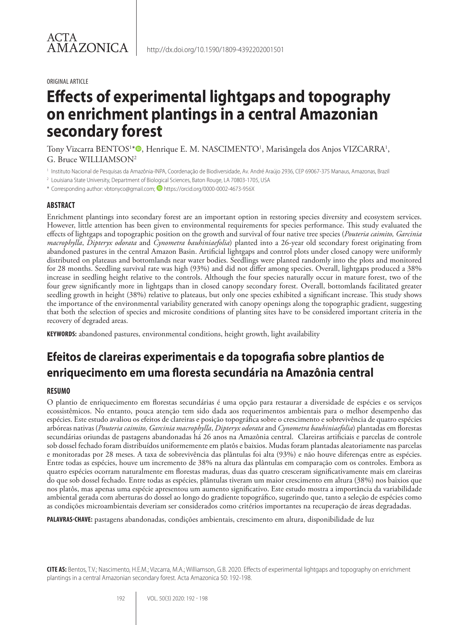#### ORIGINAL ARTICLE

# **Effects of experimental lightgaps and topography on enrichment plantings in a central Amazonian secondary forest**

Tony Vizcarra BENTOS<sup>1\*</sup>®, Henrique E. M. NASCIMENTO<sup>1</sup>, Marisângela dos Anjos VIZCARRA<sup>1</sup>, G. Bruce WILLIAMSON2

<sup>1</sup> Instituto Nacional de Pesquisas da Amazônia-INPA, Coordenação de Biodiversidade, Av. André Araújo 2936, CEP 69067-375 Manaus, Amazonas, Brazil

<sup>2</sup> Louisiana State University, Department of Biological Sciences, Baton Rouge, LA 70803-1705, USA

\* Corresponding author: vbtonyco@gmail.com; <sup>1</sup> https://orcid.org/0000-0002-4673-956X

#### **ABSTRACT**

Enrichment plantings into secondary forest are an important option in restoring species diversity and ecosystem services. However, little attention has been given to environmental requirements for species performance. This study evaluated the effects of lightgaps and topographic position on the growth and survival of four native tree species (*Pouteria caimito, Garcinia macrophylla*, *Dipteryx odorata* and *Cynometra bauhiniaefolia*) planted into a 26-year old secondary forest originating from abandoned pastures in the central Amazon Basin. Artificial lightgaps and control plots under closed canopy were uniformly distributed on plateaus and bottomlands near water bodies. Seedlings were planted randomly into the plots and monitored for 28 months. Seedling survival rate was high (93%) and did not differ among species. Overall, lightgaps produced a 38% increase in seedling height relative to the controls. Although the four species naturally occur in mature forest, two of the four grew significantly more in lightgaps than in closed canopy secondary forest. Overall, bottomlands facilitated greater seedling growth in height (38%) relative to plateaus, but only one species exhibited a significant increase. This study shows the importance of the environmental variability generated with canopy openings along the topographic gradient, suggesting that both the selection of species and microsite conditions of planting sites have to be considered important criteria in the recovery of degraded areas.

**KEYWORDS:** abandoned pastures, environmental conditions, height growth, light availability

# **Efeitos de clareiras experimentais e da topografia sobre plantios de enriquecimento em uma floresta secundária na Amazônia central**

#### **RESUMO**

O plantio de enriquecimento em florestas secundárias é uma opção para restaurar a diversidade de espécies e os serviços ecossistêmicos. No entanto, pouca atenção tem sido dada aos requerimentos ambientais para o melhor desempenho das espécies. Este estudo avaliou os efeitos de clareiras e posição topográfica sobre o crescimento e sobrevivência de quatro espécies arbóreas nativas (*Pouteria caimito, Garcinia macrophylla*, *Dipteryx odorata* and *Cynometra bauhiniaefolia*) plantadas em florestas secundárias oriundas de pastagens abandonadas há 26 anos na Amazônia central. Clareiras artificiais e parcelas de controle sob dossel fechado foram distribuídos uniformemente em platôs e baixios. Mudas foram plantadas aleatoriamente nas parcelas e monitoradas por 28 meses. A taxa de sobrevivência das plântulas foi alta (93%) e não houve diferenças entre as espécies. Entre todas as espécies, houve um incremento de 38% na altura das plântulas em comparação com os controles. Embora as quatro espécies ocorram naturalmente em florestas maduras, duas das quatro cresceram significativamente mais em clareiras do que sob dossel fechado. Entre todas as espécies, plântulas tiveram um maior crescimento em altura (38%) nos baixios que nos platôs, mas apenas uma espécie apresentou um aumento significativo. Este estudo mostra a importância da variabilidade ambiental gerada com aberturas do dossel ao longo do gradiente topográfico, sugerindo que, tanto a seleção de espécies como as condições microambientais deveriam ser considerados como critérios importantes na recuperação de áreas degradadas.

**PALAVRAS-CHAVE:** pastagens abandonadas, condições ambientais, crescimento em altura, disponibilidade de luz

**CITE AS:** Bentos, T.V.; Nascimento, H.E.M.; Vizcarra, M.A.; Williamson, G.B. 2020. Effects of experimental lightgaps and topography on enrichment plantings in a central Amazonian secondary forest. Acta Amazonica 50: 192-198.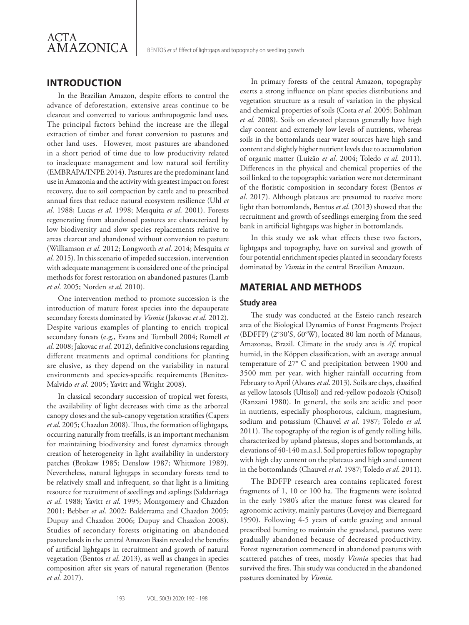

# **INTRODUCTION**

In the Brazilian Amazon, despite efforts to control the advance of deforestation, extensive areas continue to be clearcut and converted to various anthropogenic land uses. The principal factors behind the increase are the illegal extraction of timber and forest conversion to pastures and other land uses. However, most pastures are abandoned in a short period of time due to low productivity related to inadequate management and low natural soil fertility (EMBRAPA/INPE 2014). Pastures are the predominant land use in Amazonia and the activity with greatest impact on forest recovery, due to soil compaction by cattle and to prescribed annual fires that reduce natural ecosystem resilience (Uhl *et al*. 1988; Lucas *et al*. 1998; Mesquita *et al*. 2001). Forests regenerating from abandoned pastures are characterized by low biodiversity and slow species replacements relative to areas clearcut and abandoned without conversion to pasture (Williamson *et al*. 2012; Longworth *et al*. 2014; Mesquita *et al*. 2015). In this scenario of impeded succession, intervention with adequate management is considered one of the principal methods for forest restoration on abandoned pastures (Lamb *et al*. 2005; Norden *et al*. 2010).

One intervention method to promote succession is the introduction of mature forest species into the depauperate secondary forests dominated by *Vismia* (Jakovac *et al*. 2012). Despite various examples of planting to enrich tropical secondary forests (e.g., Evans and Turnbull 2004; Romell *et al*. 2008; Jakovac *et al*. 2012), definitive conclusions regarding different treatments and optimal conditions for planting are elusive, as they depend on the variability in natural environments and species-specific requirements (Benitez-Malvido *et al*. 2005; Yavitt and Wright 2008).

In classical secondary succession of tropical wet forests, the availability of light decreases with time as the arboreal canopy closes and the sub-canopy vegetation stratifies (Capers *et al*. 2005; Chazdon 2008). Thus, the formation of lightgaps, occurring naturally from treefalls, is an important mechanism for maintaining biodiversity and forest dynamics through creation of heterogeneity in light availability in understory patches (Brokaw 1985; Denslow 1987; Whitmore 1989). Nevertheless, natural lightgaps in secondary forests tend to be relatively small and infrequent, so that light is a limiting resource for recruitment of seedlings and saplings (Saldarriaga *et al*. 1988; Yavitt *et al*. 1995; Montgomery and Chazdon 2001; Bebber *et al*. 2002; Balderrama and Chazdon 2005; Dupuy and Chazdon 2006; Dupuy and Chazdon 2008). Studies of secondary forests originating on abandoned pasturelands in the central Amazon Basin revealed the benefits of artificial lightgaps in recruitment and growth of natural vegetation (Bentos *et al*. 2013), as well as changes in species composition after six years of natural regeneration (Bentos *et al*. 2017).

In primary forests of the central Amazon, topography exerts a strong influence on plant species distributions and vegetation structure as a result of variation in the physical and chemical properties of soils (Costa *et al.* 2005; Bohlman *et al.* 2008). Soils on elevated plateaus generally have high clay content and extremely low levels of nutrients, whereas soils in the bottomlands near water sources have high sand content and slightly higher nutrient levels due to accumulation of organic matter (Luizão *et al*. 2004; Toledo *et al*. 2011). Differences in the physical and chemical properties of the soil linked to the topographic variation were not determinant of the floristic composition in secondary forest (Bentos *et al*. 2017). Although plateaus are presumed to receive more light than bottomlands, Bentos *et al*. (2013) showed that the recruitment and growth of seedlings emerging from the seed bank in artificial lightgaps was higher in bottomlands.

In this study we ask what effects these two factors, lightgaps and topography, have on survival and growth of four potential enrichment species planted in secondary forests dominated by *Vismia* in the central Brazilian Amazon.

## **MATERIAL AND METHODS**

#### **Study area**

The study was conducted at the Esteio ranch research area of the Biological Dynamics of Forest Fragments Project (BDFFP) (2°30'S, 60°W), located 80 km north of Manaus, Amazonas, Brazil. Climate in the study area is *Af*, tropical humid, in the Köppen classification, with an average annual temperature of 27° C and precipitation between 1900 and 3500 mm per year, with higher rainfall occurring from February to April (Alvares *et al*. 2013). Soils are clays, classified as yellow latosols (Ultisol) and red-yellow podozols (Oxisol) (Ranzani 1980). In general, the soils are acidic and poor in nutrients, especially phosphorous, calcium, magnesium, sodium and potassium (Chauvel *et al*. 1987; Toledo *et al.*  2011). The topography of the region is of gently rolling hills, characterized by upland plateaus, slopes and bottomlands, at elevations of 40-140 m.a.s.l. Soil properties follow topography with high clay content on the plateaus and high sand content in the bottomlands (Chauvel *et al*. 1987; Toledo *et al*. 2011).

The BDFFP research area contains replicated forest fragments of 1, 10 or 100 ha. The fragments were isolated in the early 1980's after the mature forest was cleared for agronomic activity, mainly pastures (Lovejoy and Bierregaard 1990). Following 4-5 years of cattle grazing and annual prescribed burning to maintain the grassland, pastures were gradually abandoned because of decreased productivity. Forest regeneration commenced in abandoned pastures with scattered patches of trees, mostly *Vismia* species that had survived the fires. This study was conducted in the abandoned pastures dominated by *Vismia*.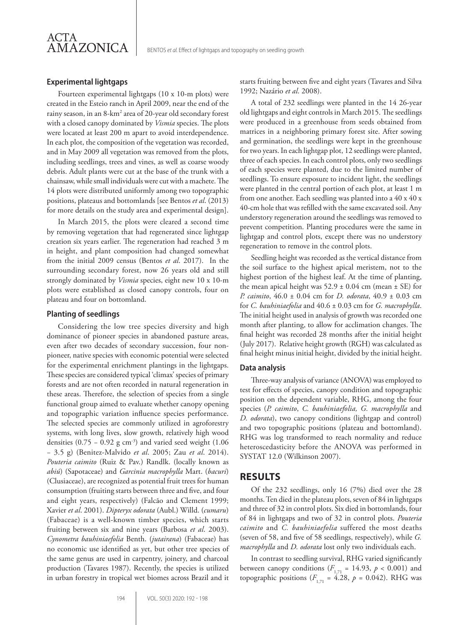

#### **Experimental lightgaps**

Fourteen experimental lightgaps (10 x 10-m plots) were created in the Esteio ranch in April 2009, near the end of the rainy season, in an 8-km<sup>2</sup> area of 20-year old secondary forest with a closed canopy dominated by *Vismia* species. The plots were located at least 200 m apart to avoid interdependence. In each plot, the composition of the vegetation was recorded, and in May 2009 all vegetation was removed from the plots, including seedlings, trees and vines, as well as coarse woody debris. Adult plants were cut at the base of the trunk with a chainsaw, while small individuals were cut with a machete. The 14 plots were distributed uniformly among two topographic positions, plateaus and bottomlands [see Bentos *et al*. (2013) for more details on the study area and experimental design].

In March 2015, the plots were cleared a second time by removing vegetation that had regenerated since lightgap creation six years earlier. The regeneration had reached 3 m in height, and plant composition had changed somewhat from the initial 2009 census (Bentos *et al*. 2017). In the surrounding secondary forest, now 26 years old and still strongly dominated by *Vismia* species, eight new 10 x 10-m plots were established as closed canopy controls, four on plateau and four on bottomland.

#### **Planting of seedlings**

Considering the low tree species diversity and high dominance of pioneer species in abandoned pasture areas, even after two decades of secondary succession, four nonpioneer, native species with economic potential were selected for the experimental enrichment plantings in the lightgaps. These species are considered typical 'climax' species of primary forests and are not often recorded in natural regeneration in these areas. Therefore, the selection of species from a single functional group aimed to evaluate whether canopy opening and topographic variation influence species performance. The selected species are commonly utilized in agroforestry systems, with long lives, slow growth, relatively high wood densities (0.75 – 0.92 g cm<sup>-3</sup>) and varied seed weight (1.06 − 3.5 g) (Benitez-Malvido *et al*. 2005; Zau *et al*. 2014). *Pouteria caimito* (Ruiz & Pav.) Randlk. (locally known as *abiú*) (Sapotaceae) and *Garcinia macrophylla* Mart. (*bacuri*) (Clusiaceae), are recognized as potential fruit trees for human consumption (fruiting starts between three and five, and four and eight years, respectively) (Falcão and Clement 1999; Xavier *et al*. 2001). *Dipteryx odorata* (Aubl.) Willd. (*cumaru*) (Fabaceae) is a well-known timber species, which starts fruiting between six and nine years (Barbosa *et al*. 2003). *Cynometra bauhiniaefolia* Benth. (*jutairana*) (Fabaceae) has no economic use identified as yet, but other tree species of the same genus are used in carpentry, joinery, and charcoal production (Tavares 1987). Recently, the species is utilized in urban forestry in tropical wet biomes across Brazil and it starts fruiting between five and eight years (Tavares and Silva 1992; Nazário *et al*. 2008).

A total of 232 seedlings were planted in the 14 26-year old lightgaps and eight controls in March 2015. The seedlings were produced in a greenhouse from seeds obtained from matrices in a neighboring primary forest site. After sowing and germination, the seedlings were kept in the greenhouse for two years. In each lightgap plot, 12 seedlings were planted, three of each species. In each control plots, only two seedlings of each species were planted, due to the limited number of seedlings. To ensure exposure to incident light, the seedlings were planted in the central portion of each plot, at least 1 m from one another. Each seedling was planted into a 40 x 40 x 40-cm hole that was refilled with the same excavated soil. Any understory regeneration around the seedlings was removed to prevent competition. Planting procedures were the same in lightgap and control plots, except there was no understory regeneration to remove in the control plots.

Seedling height was recorded as the vertical distance from the soil surface to the highest apical meristem, not to the highest portion of the highest leaf. At the time of planting, the mean apical height was  $52.9 \pm 0.04$  cm (mean  $\pm$  SE) for *P. caimito*, 46.0 ± 0.04 cm for *D. odorata*, 40.9 ± 0.03 cm for *C. bauhiniaefolia* and 40.6 ± 0.03 cm for *G. macrophylla*. The initial height used in analysis of growth was recorded one month after planting, to allow for acclimation changes. The final height was recorded 28 months after the initial height (July 2017). Relative height growth (RGH) was calculated as final height minus initial height, divided by the initial height.

#### **Data analysis**

Three-way analysis of variance (ANOVA) was employed to test for effects of species, canopy condition and topographic position on the dependent variable, RHG, among the four species (*P. caimito*, *C. bauhiniaefolia, G. macrophylla* and *D. odorata*), two canopy conditions (lightgap and control) and two topographic positions (plateau and bottomland). RHG was log transformed to reach normality and reduce heteroscedasticity before the ANOVA was performed in SYSTAT 12.0 (Wilkinson 2007).

#### **RESULTS**

Of the 232 seedlings, only 16 (7%) died over the 28 months. Ten died in the plateau plots, seven of 84 in lightgaps and three of 32 in control plots. Six died in bottomlands, four of 84 in lightgaps and two of 32 in control plots. *Pouteria caimito* and *C. bauhiniaefolia* suffered the most deaths (seven of 58, and five of 58 seedlings, respectively), while *G. macrophylla* and *D. odorata* lost only two individuals each.

In contrast to seedling survival, RHG varied significantly between canopy conditions  $(F_{1,71} = 14.93, p < 0.001)$  and topographic positions ( $F_{1,71} = 4.28$ ,  $p = 0.042$ ). RHG was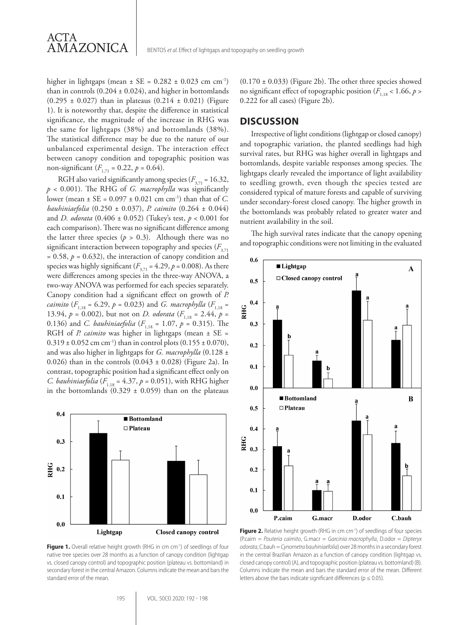higher in lightgaps (mean  $\pm$  SE = 0.282  $\pm$  0.023 cm cm<sup>-1</sup>) than in controls  $(0.204 \pm 0.024)$ , and higher in bottomlands  $(0.295 \pm 0.027)$  than in plateaus  $(0.214 \pm 0.021)$  (Figure 1). It is noteworthy that, despite the difference in statistical significance, the magnitude of the increase in RHG was the same for lightgaps (38%) and bottomlands (38%). The statistical difference may be due to the nature of our unbalanced experimental design. The interaction effect between canopy condition and topographic position was non-significant  $(F_{1,71} = 0.22, p = 0.64)$ .

RGH also varied significantly among species  $(F_{3,71} = 16.32,$ *p* < 0.001). The RHG of *G. macrophylla* was significantly lower (mean ± SE = 0.097 ± 0.021 cm cm-1) than that of *C. bauhiniaefolia* (0.250 ± 0.037), *P. caimito* (0.264 ± 0.044) and *D. odorata* (0.406 ± 0.052) (Tukey's test, *p* < 0.001 for each comparison). There was no significant difference among the latter three species  $(p > 0.3)$ . Although there was no significant interaction between topography and species  $(F_{3,71})$ = 0.58, *p* = 0.632), the interaction of canopy condition and species was highly significant ( $F_{3,71} = 4.29$ ,  $p = 0.008$ ). As there were differences among species in the three-way ANOVA, a two-way ANOVA was performed for each species separately. Canopy condition had a significant effect on growth of *P. caimito*  $(F_{1,18} = 6.29, p = 0.023)$  and *G. macrophylla*  $(F_{1,18} = 1.18)$ 13.94,  $p = 0.002$ ), but not on *D. odorata* ( $F_{1,18} = 2.44$ ,  $p =$ 0.136) and *C. bauhiniaefolia* ( $F_{1,18} = 1.07$ ,  $p = 0.315$ ). The RGH of *P. caimito* was higher in lightgaps (mean ± SE =  $0.319 \pm 0.052$  cm cm<sup>-1</sup>) than in control plots  $(0.155 \pm 0.070)$ , and was also higher in lightgaps for *G. macrophylla* (0.128 ± 0.026) than in the controls  $(0.043 \pm 0.028)$  (Figure 2a). In contrast, topographic position had a significant effect only on *C. bauhiniaefolia* ( $F_{1,18} = 4.37$ ,  $p = 0.051$ ), with RHG higher in the bottomlands  $(0.329 \pm 0.059)$  than on the plateaus



Figure 1. Overall relative height growth (RHG in cm cm<sup>-1</sup>) of seedlings of four native tree species over 28 months as a function of canopy condition (lightgap vs. closed canopy control) and topographic position (plateau vs. bottomland) in secondary forest in the central Amazon. Columns indicate the mean and bars the standard error of the mean.

 $(0.170 \pm 0.033)$  (Figure 2b). The other three species showed no significant effect of topographic position ( $F_{1,18}$  < 1.66,  $p >$ 0.222 for all cases) (Figure 2b).

### **DISCUSSION**

Irrespective of light conditions (lightgap or closed canopy) and topographic variation, the planted seedlings had high survival rates, but RHG was higher overall in lightgaps and bottomlands, despite variable responses among species. The lightgaps clearly revealed the importance of light availability to seedling growth, even though the species tested are considered typical of mature forests and capable of surviving under secondary-forest closed canopy. The higher growth in the bottomlands was probably related to greater water and nutrient availability in the soil.

The high survival rates indicate that the canopy opening and topographic conditions were not limiting in the evaluated



Figure 2. Relative height growth (RHG in cm cm<sup>-1</sup>) of seedlings of four species (P.caim = *Pouteria caimito*, G.macr = *Garcinia macrophylla*, D.odor = *Dipteryx odorata*, C.bauh = *Cynometra bauhiniaefolia*) over 28 months in a secondary forest in the central Brazilian Amazon as a function of canopy condition (lightgap vs. closed canopy control) (A), and topographic position (plateau vs. bottomland) (B). Columns indicate the mean and bars the standard error of the mean. Different letters above the bars indicate significant differences ( $p \le 0.05$ ).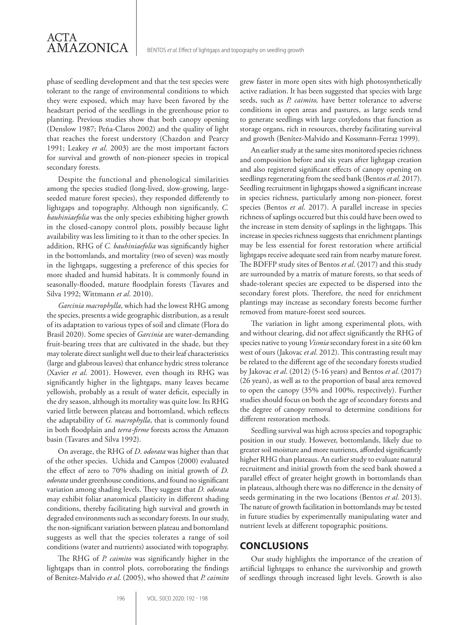phase of seedling development and that the test species were tolerant to the range of environmental conditions to which they were exposed, which may have been favored by the headstart period of the seedlings in the greenhouse prior to planting. Previous studies show that both canopy opening (Denslow 1987; Peña-Claros 2002) and the quality of light that reaches the forest understory (Chazdon and Pearcy 1991; Leakey *et al*. 2003) are the most important factors for survival and growth of non-pioneer species in tropical secondary forests.

ACTA

AMAZONICA

Despite the functional and phenological similarities among the species studied (long-lived, slow-growing, largeseeded mature forest species), they responded differently to lightgaps and topography. Although non significantly, *C. bauhiniaefolia* was the only species exhibiting higher growth in the closed-canopy control plots, possibly because light availability was less limiting to it than to the other species. In addition, RHG of *C. bauhiniaefolia* was significantly higher in the bottomlands, and mortality (two of seven) was mostly in the lightgaps, suggesting a preference of this species for more shaded and humid habitats. It is commonly found in seasonally-flooded, mature floodplain forests (Tavares and Silva 1992; Wittmann *et al*. 2010).

*Garcinia macrophylla*, which had the lowest RHG among the species, presents a wide geographic distribution, as a result of its adaptation to various types of soil and climate (Flora do Brasil 2020). Some species of *Garcinia* are water-demanding fruit-bearing trees that are cultivated in the shade, but they may tolerate direct sunlight well due to their leaf characteristics (large and glabrous leaves) that enhance hydric stress tolerance (Xavier *et al*. 2001). However, even though its RHG was significantly higher in the lightgaps, many leaves became yellowish, probably as a result of water deficit, especially in the dry season, although its mortality was quite low. Its RHG varied little between plateau and bottomland, which reflects the adaptability of *G. macrophylla*, that is commonly found in both floodplain and *terra-firme* forests across the Amazon basin (Tavares and Silva 1992).

On average, the RHG of *D. odorata* was higher than that of the other species. Uchida and Campos (2000) evaluated the effect of zero to 70% shading on initial growth of *D. odorata* under greenhouse conditions, and found no significant variation among shading levels. They suggest that *D. odorata* may exhibit foliar anatomical plasticity in different shading conditions, thereby facilitating high survival and growth in degraded environments such as secondary forests. In our study, the non-significant variation between plateau and bottomland suggests as well that the species tolerates a range of soil conditions (water and nutrients) associated with topography.

The RHG of *P. caimito* was significantly higher in the lightgaps than in control plots, corroborating the findings of Benitez-Malvido *et al*. (2005), who showed that *P. caimito* grew faster in more open sites with high photosynthetically active radiation. It has been suggested that species with large seeds, such as *P. caimito,* have better tolerance to adverse conditions in open areas and pastures, as large seeds tend to generate seedlings with large cotyledons that function as storage organs, rich in resources, thereby facilitating survival and growth (Benítez-Malvido and Kossmann-Ferraz 1999).

An earlier study at the same sites monitored species richness and composition before and six years after lightgap creation and also registered significant effects of canopy opening on seedlings regenerating from the seed bank (Bentos *et al*. 2017). Seedling recruitment in lightgaps showed a significant increase in species richness, particularly among non-pioneer, forest species (Bentos *et al*. 2017). A parallel increase in species richness of saplings occurred but this could have been owed to the increase in stem density of saplings in the lightgaps. This increase in species richness suggests that enrichment plantings may be less essential for forest restoration where artificial lightgaps receive adequate seed rain from nearby mature forest. The BDFFP study sites of Bentos *et al*. (2017) and this study are surrounded by a matrix of mature forests, so that seeds of shade-tolerant species are expected to be dispersed into the secondary forest plots. Therefore, the need for enrichment plantings may increase as secondary forests become further removed from mature-forest seed sources.

The variation in light among experimental plots, with and without clearing, did not affect significantly the RHG of species native to young *Vismia* secondary forest in a site 60 km west of ours (Jakovac *et al*. 2012). This contrasting result may be related to the different age of the secondary forests studied by Jakovac *et al*. (2012) (5-16 years) and Bentos *et al*. (2017) (26 years), as well as to the proportion of basal area removed to open the canopy (35% and 100%, respectively). Further studies should focus on both the age of secondary forests and the degree of canopy removal to determine conditions for different restoration methods.

Seedling survival was high across species and topographic position in our study. However, bottomlands, likely due to greater soil moisture and more nutrients, afforded significantly higher RHG than plateaus. An earlier study to evaluate natural recruitment and initial growth from the seed bank showed a parallel effect of greater height growth in bottomlands than in plateaus, although there was no difference in the density of seeds germinating in the two locations (Bentos *et al*. 2013). The nature of growth facilitation in bottomlands may be tested in future studies by experimentally manipulating water and nutrient levels at different topographic positions.

#### **CONCLUSIONS**

Our study highlights the importance of the creation of artificial lightgaps to enhance the survivorship and growth of seedlings through increased light levels. Growth is also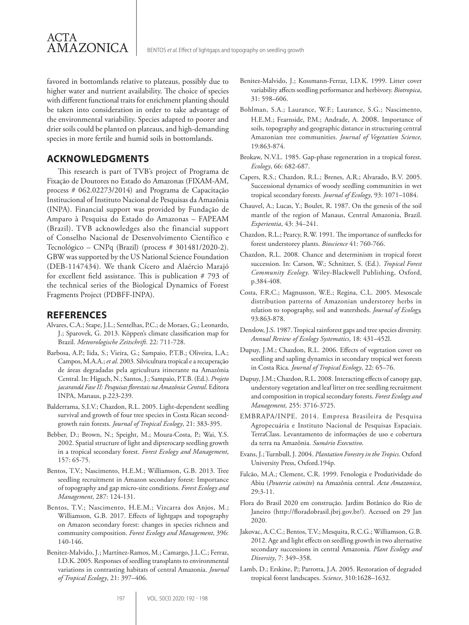favored in bottomlands relative to plateaus, possibly due to higher water and nutrient availability. The choice of species with different functional traits for enrichment planting should be taken into consideration in order to take advantage of the environmental variability. Species adapted to poorer and drier soils could be planted on plateaus, and high-demanding species in more fertile and humid soils in bottomlands.

# **ACKNOWLEDGMENTS**

ACTA

AMAZONICA

This research is part of TVB's project of Programa de Fixação de Doutores no Estado do Amazonas (FIXAM-AM, process # 062.02273/2014) and Programa de Capacitação Institucional of Instituto Nacional de Pesquisas da Amazônia (INPA). Financial support was provided by Fundação de Amparo à Pesquisa do Estado do Amazonas – FAPEAM (Brazil). TVB acknowledges also the financial support of Conselho Nacional de Desenvolvimento Científico e Tecnológico – CNPq (Brazil) (process # 301481/2020-2). GBW was supported by the US National Science Foundation (DEB-1147434). We thank Cícero and Alaércio Marajó for excellent field assistance. This is publication # 793 of the technical series of the Biological Dynamics of Forest Fragments Project (PDBFF-INPA).

# **REFERENCES**

- Alvares, C.A.; Stape, J.L.; Sentelhas, P.C.; de Moraes, G.; Leonardo, J.; Sparovek, G. 2013. Köppen's climate classification map for Brazil. *Meteorologische Zeitschrift*. 22: 711-728.
- Barbosa, A.P.; Iida, S.; Vieira, G.; Sampaio, P.T.B.; Oliveira, L.A.; Campos, M.A.A.; *et al*. 2003. Silvicultura tropical e a recuperação de áreas degradadas pela agricultura itinerante na Amazônia Central. In: Higuch, N.; Santos, J.; Sampaio, P.T.B. (Ed.). *Projeto jacarandá Fase II: Pesquisas florestais na Amazônia Central*. Editora INPA, Manaus, p.223-239.
- Balderrama, S.I.V.; Chazdon, R.L. 2005. Light-dependent seedling survival and growth of four tree species in Costa Rican secondgrowth rain forests. *Journal of Tropical Ecology*, 21: 383-395.
- Bebber, D.; Brown, N.; Speight, M.; Moura-Costa, P.; Wai, Y.S. 2002. Spatial structure of light and dipterocarp seedling growth in a tropical secondary forest. *Forest Ecology and Management*, 157: 65-75.
- Bentos, T.V.; Nascimento, H.E.M.; Williamson, G.B. 2013. Tree seedling recruitment in Amazon secondary forest: Importance of topography and gap micro-site conditions. *Forest Ecology and Management*, 287: 124-131.
- Bentos, T.V.; Nascimento, H.E.M.; Vizcarra dos Anjos, M.; Williamson, G.B. 2017. Effects of lightgaps and topography on Amazon secondary forest: changes in species richness and community composition. *Forest Ecology and Management*, 396: 140-146.
- Benitez-Malvido, J.; Martínez-Ramos, M.; Camargo, J.L.C.; Ferraz, I.D.K. 2005. Responses of seedling transplants to environmental variations in contrasting habitats of central Amazonia. *Journal of Tropical Ecology*, 21: 397–406.
- Benitez-Malvido, J.; Kossmann-Ferraz, I.D.K. 1999. Litter cover variability affects seedling performance and herbivory. *Biotropica*, 31: 598–606.
- Bohlman, S.A.; Laurance, W.F.; Laurance, S.G.; Nascimento, H.E.M.; Fearnside, P.M.; Andrade, A. 2008. Importance of soils, topography and geographic distance in structuring central Amazonian tree communities. *Journal of Vegetation Science,* 19:863-874.
- Brokaw, N.V.L. 1985. Gap-phase regeneration in a tropical forest. *Ecology*, 66: 682-687.
- Capers, R.S.; Chazdon, R.L.; Brenes, A.R.; Alvarado, B.V. 2005. Successional dynamics of woody seedling communities in wet tropical secondary forests. *Journal of Ecology*, 93: 1071–1084.
- Chauvel, A.; Lucas, Y.; Boulet, R. 1987. On the genesis of the soil mantle of the region of Manaus, Central Amazonia, Brazil. *Experientia*, 43: 34–241.
- Chazdon, R.L.; Pearcy, R.W. 1991. The importance of sunflecks for forest understorey plants. *Bioscience* 41: 760-766.
- Chazdon, R.L. 2008. Chance and determinism in tropical forest succession. In: Carson, W.; Schnitzer, S. (Ed.). *Tropical Forest Community Ecology*. Wiley-Blackwell Publishing, Oxford, p.384-408.
- Costa, F.R.C.; Magnusson, W.E.; Regina, C.L. 2005. Mesoscale distribution patterns of Amazonian understorey herbs in relation to topography, soil and watersheds. *Journal of Ecology,* 93:863-878.
- Denslow, J.S. 1987. Tropical rainforest gaps and tree species diversity. *Annual Review of Ecology Systematics*, 18: 431–452l.
- Dupuy, J.M.; Chazdon, R.L. 2006. Effects of vegetation cover on seedling and sapling dynamics in secondary tropical wet forests in Costa Rica. *Journal of Tropical Ecology*, 22: 65–76.
- Dupuy, J.M.; Chazdon, R.L. 2008. Interacting effects of canopy gap, understory vegetation and leaf litter on tree seedling recruitment and composition in tropical secondary forests. *Forest Ecology and Management,* 255: 3716-3725.
- EMBRAPA/INPE. 2014. Empresa Brasileira de Pesquisa Agropecuária e Instituto Nacional de Pesquisas Espaciais. TerraClass. Levantamento de informações de uso e cobertura da terra na Amazônia. *Sumário Executivo*.
- Evans, J.; Turnbull, J. 2004. *Plantation Forestry in the Tropics*. Oxford University Press, Oxford.194p.
- Falcão, M.A.; Clement, C.R. 1999. Fenologia e Produtividade do Abiu (*Pouteria caimito*) na Amazônia central. *Acta Amazonica*, 29:3-11.
- Flora do Brasil 2020 em construção. Jardim Botânico do Rio de Janeiro (http://floradobrasil.jbrj.gov.br/). Acessed on 29 Jan 2020.
- Jakovac, A.C.C.; Bentos, T.V.; Mesquita, R.C.G.; Williamson, G.B. 2012. Age and light effects on seedling growth in two alternative secondary successions in central Amazonia. *Plant Ecology and Diversity*, 7: 349–358.
- Lamb, D.; Erskine, P.; Parrotta, J.A. 2005. Restoration of degraded tropical forest landscapes. *Science*, 310:1628–1632.